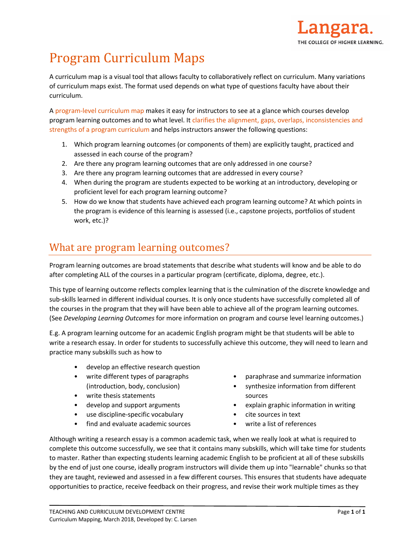

# Program Curriculum Maps

A curriculum map is a visual tool that allows faculty to collaboratively reflect on curriculum. Many variations of curriculum maps exist. The format used depends on what type of questions faculty have about their curriculum.

A program-level curriculum map makes it easy for instructors to see at a glance which courses develop program learning outcomes and to what level. It clarifies the alignment, gaps, overlaps, inconsistencies and strengths of a program curriculum and helps instructors answer the following questions:

- 1. Which program learning outcomes (or components of them) are explicitly taught, practiced and assessed in each course of the program?
- 2. Are there any program learning outcomes that are only addressed in one course?
- 3. Are there any program learning outcomes that are addressed in every course?
- 4. When during the program are students expected to be working at an introductory, developing or proficient level for each program learning outcome?
- 5. How do we know that students have achieved each program learning outcome? At which points in the program is evidence of this learning is assessed (i.e., capstone projects, portfolios of student work, etc.)?

## What are program learning outcomes?

Program learning outcomes are broad statements that describe what students will know and be able to do after completing ALL of the courses in a particular program (certificate, diploma, degree, etc.).

This type of learning outcome reflects complex learning that is the culmination of the discrete knowledge and sub-skills learned in different individual courses. It is only once students have successfully completed all of the courses in the program that they will have been able to achieve all of the program learning outcomes. (See *Developing Learning Outcomes* for more information on program and course level learning outcomes.)

E.g. A program learning outcome for an academic English program might be that students will be able to write a research essay. In order for students to successfully achieve this outcome, they will need to learn and practice many subskills such as how to

- develop an effective research question
- write different types of paragraphs (introduction, body, conclusion)
- write thesis statements
- develop and support arguments
- use discipline-specific vocabulary
- find and evaluate academic sources
- paraphrase and summarize information
- synthesize information from different sources
- explain graphic information in writing
- cite sources in text
- write a list of references

Although writing a research essay is a common academic task, when we really look at what is required to complete this outcome successfully, we see that it contains many subskills, which will take time for students to master. Rather than expecting students learning academic English to be proficient at all of these subskills by the end of just one course, ideally program instructors will divide them up into "learnable" chunks so that they are taught, reviewed and assessed in a few different courses. This ensures that students have adequate opportunities to practice, receive feedback on their progress, and revise their work multiple times as they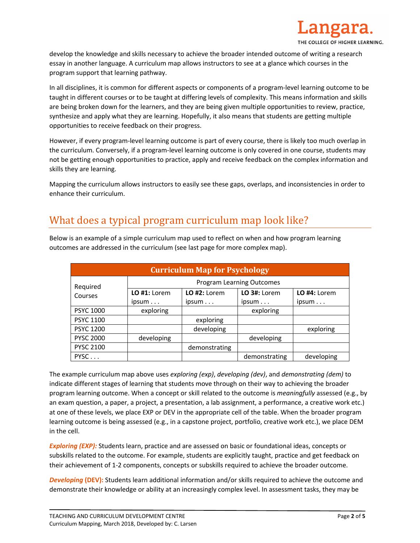

develop the knowledge and skills necessary to achieve the broader intended outcome of writing a research essay in another language. A curriculum map allows instructors to see at a glance which courses in the program support that learning pathway.

In all disciplines, it is common for different aspects or components of a program-level learning outcome to be taught in different courses or to be taught at differing levels of complexity. This means information and skills are being broken down for the learners, and they are being given multiple opportunities to review, practice, synthesize and apply what they are learning. Hopefully, it also means that students are getting multiple opportunities to receive feedback on their progress.

However, if every program-level learning outcome is part of every course, there is likely too much overlap in the curriculum. Conversely, if a program-level learning outcome is only covered in one course, students may not be getting enough opportunities to practice, apply and receive feedback on the complex information and skills they are learning.

Mapping the curriculum allows instructors to easily see these gaps, overlaps, and inconsistencies in order to enhance their curriculum.

### What does a typical program curriculum map look like?

| <b>Curriculum Map for Psychology</b> |                                  |                |                |                |  |
|--------------------------------------|----------------------------------|----------------|----------------|----------------|--|
| Required<br>Courses                  | <b>Program Learning Outcomes</b> |                |                |                |  |
|                                      | $LO$ #1: Lorem                   | $LO$ #2: Lorem | $LO$ 3#: Lorem | $LO$ #4: Lorem |  |
|                                      | ipsum                            | ipsum          | ipsum          | ipsum          |  |
| <b>PSYC 1000</b>                     | exploring                        |                | exploring      |                |  |
| <b>PSYC 1100</b>                     |                                  | exploring      |                |                |  |
| <b>PSYC 1200</b>                     |                                  | developing     |                | exploring      |  |
| <b>PYSC 2000</b>                     | developing                       |                | developing     |                |  |
| <b>PYSC 2100</b>                     |                                  | demonstrating  |                |                |  |
| PYSC                                 |                                  |                | demonstrating  | developing     |  |

Below is an example of a simple curriculum map used to reflect on when and how program learning outcomes are addressed in the curriculum (see last page for more complex map).

The example curriculum map above uses *exploring (exp)*, *developing (dev)*, and *demonstrating (dem)* to indicate different stages of learning that students move through on their way to achieving the broader program learning outcome. When a concept or skill related to the outcome is *meaningfully* assessed (e.g., by an exam question, a paper, a project, a presentation, a lab assignment, a performance, a creative work etc.) at one of these levels, we place EXP or DEV in the appropriate cell of the table. When the broader program learning outcome is being assessed (e.g., in a capstone project, portfolio, creative work etc.), we place DEM in the cell.

*Exploring (EXP):* Students learn, practice and are assessed on basic or foundational ideas, concepts or subskills related to the outcome. For example, students are explicitly taught, practice and get feedback on their achievement of 1-2 components, concepts or subskills required to achieve the broader outcome.

*Developing* **(DEV):** Students learn additional information and/or skills required to achieve the outcome and demonstrate their knowledge or ability at an increasingly complex level. In assessment tasks, they may be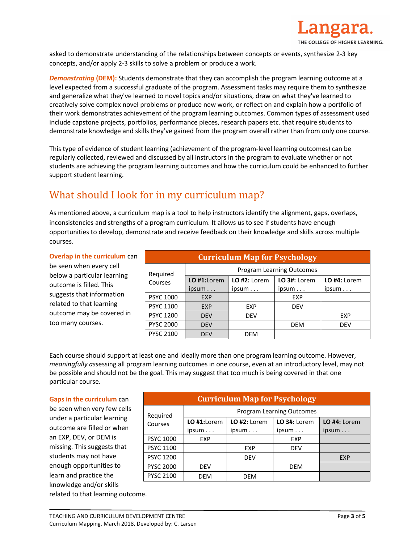

asked to demonstrate understanding of the relationships between concepts or events, synthesize 2-3 key concepts, and/or apply 2-3 skills to solve a problem or produce a work.

*Demonstrating* **(DEM):** Students demonstrate that they can accomplish the program learning outcome at a level expected from a successful graduate of the program. Assessment tasks may require them to synthesize and generalize what they've learned to novel topics and/or situations, draw on what they've learned to creatively solve complex novel problems or produce new work, or reflect on and explain how a portfolio of their work demonstrates achievement of the program learning outcomes. Common types of assessment used include capstone projects, portfolios, performance pieces, research papers etc. that require students to demonstrate knowledge and skills they've gained from the program overall rather than from only one course.

This type of evidence of student learning (achievement of the program-level learning outcomes) can be regularly collected, reviewed and discussed by all instructors in the program to evaluate whether or not students are achieving the program learning outcomes and how the curriculum could be enhanced to further support student learning.

## What should I look for in my curriculum map?

As mentioned above, a curriculum map is a tool to help instructors identify the alignment, gaps, overlaps, inconsistencies and strengths of a program curriculum. It allows us to see if students have enough opportunities to develop, demonstrate and receive feedback on their knowledge and skills across multiple courses.

#### **Overlap in the curriculum** can

be seen when every cell below a particular learning outcome is filled. This suggests that information related to that learning outcome may be covered in too many courses.

| <b>Curriculum Map for Psychology</b> |                           |                |                |                |  |
|--------------------------------------|---------------------------|----------------|----------------|----------------|--|
| Required                             | Program Learning Outcomes |                |                |                |  |
| Courses                              | $LO$ #1:Lorem             | $LO$ #2: Lorem | $LO$ 3#: Lorem | $LO$ #4: Lorem |  |
|                                      | ipsum                     | ipsum          | ipsum          | ipsum          |  |
| <b>PSYC 1000</b>                     | <b>EXP</b>                |                | EXP            |                |  |
| <b>PSYC 1100</b>                     | <b>EXP</b>                | EXP            | <b>DEV</b>     |                |  |
| <b>PSYC 1200</b>                     | <b>DEV</b>                | <b>DEV</b>     |                | <b>EXP</b>     |  |
| <b>PYSC 2000</b>                     | <b>DEV</b>                |                | <b>DEM</b>     | <b>DEV</b>     |  |
| <b>PYSC 2100</b>                     | <b>DEV</b>                | DEM            |                |                |  |

Each course should support at least one and ideally more than one program learning outcome. However, *meaningfully ass*essing all program learning outcomes in one course, even at an introductory level, may not be possible and should not be the goal. This may suggest that too much is being covered in that one particular course.

#### **Gaps in the curriculum** can

be seen when very few cells under a particular learning outcome are filled or when an EXP, DEV, or DEM is missing. This suggests that students may not have enough opportunities to learn and practice the knowledge and/or skills related to that learning outcome.

| <b>Curriculum Map for Psychology</b> |                           |              |                |              |
|--------------------------------------|---------------------------|--------------|----------------|--------------|
| Required                             | Program Learning Outcomes |              |                |              |
| Courses                              | $LO$ #1:Lorem             | LO #2: Lorem | $LO$ 3#: Lorem | LO #4: Lorem |
|                                      | ipsum                     | ipsum        | ipsum          | ipsum        |
| <b>PSYC 1000</b>                     | EXP                       |              | EXP            |              |
| <b>PSYC 1100</b>                     |                           | EXP          | <b>DEV</b>     |              |
| <b>PSYC 1200</b>                     |                           | <b>DEV</b>   |                | <b>EXP</b>   |
| <b>PYSC 2000</b>                     | <b>DEV</b>                |              | <b>DEM</b>     |              |
| <b>PYSC 2100</b>                     | DEM                       | <b>DFM</b>   |                |              |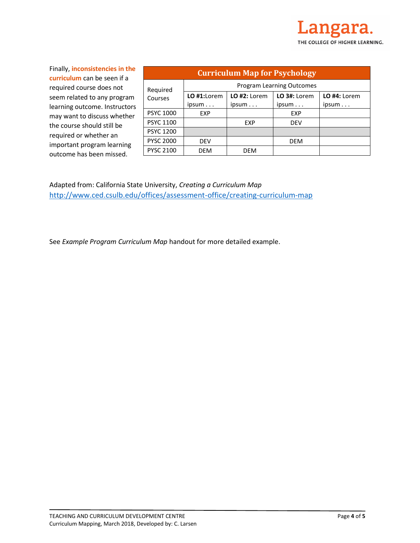Finally, **inconsistencies in the curriculum** can be seen if a required course does not seem related to any program learning outcome. Instructors may want to discuss whether the course should still be required or whether an important program learning outcome has been missed.

| <b>Curriculum Map for Psychology</b> |                           |                |              |              |  |
|--------------------------------------|---------------------------|----------------|--------------|--------------|--|
| Required<br>Courses                  | Program Learning Outcomes |                |              |              |  |
|                                      | $LO$ #1:Lorem             | $LO$ #2: Lorem | LO 3#: Lorem | LO #4: Lorem |  |
|                                      | ipsum                     | ipsum          | ipsum        | ipsum        |  |
| <b>PSYC 1000</b>                     | EXP                       |                | <b>EXP</b>   |              |  |
| <b>PSYC 1100</b>                     |                           | <b>EXP</b>     | <b>DEV</b>   |              |  |
| <b>PSYC 1200</b>                     |                           |                |              |              |  |
| <b>PYSC 2000</b>                     | <b>DEV</b>                |                | <b>DEM</b>   |              |  |
| <b>PYSC 2100</b>                     | <b>DEM</b>                | <b>DEM</b>     |              |              |  |

Adapted from: California State University, *Creating a Curriculum Map*  <http://www.ced.csulb.edu/offices/assessment-office/creating-curriculum-map>

See *Example Program Curriculum Map* handout for more detailed example.